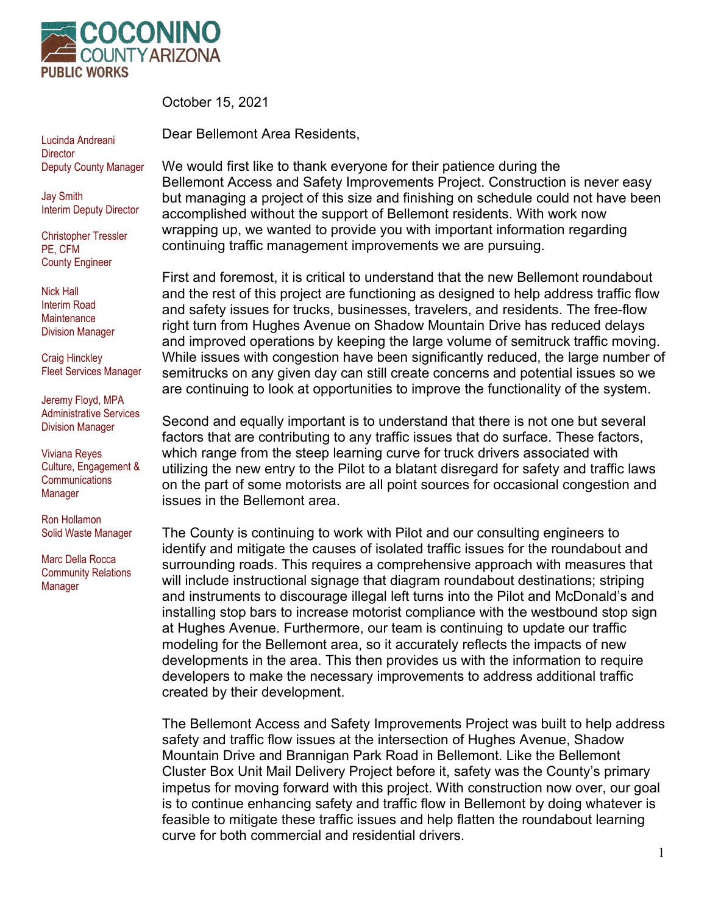

October 15, 2021

Dear Bellemont Area Residents,

Lucinda Andreani **Director** Deputy County Manager

Jay Smith Interim Deputy Director

Christopher Tressler PE, CFM County Engineer

Nick Hall Interim Road **Maintenance** Division Manager

Craig Hinckley Fleet Services Manager

Jeremy Floyd, MPA Administrative Services Division Manager

Viviana Reyes Culture, Engagement & **Communications** Manager

Ron Hollamon Solid Waste Manager

Marc Della Rocca Community Relations Manager

We would first like to thank everyone for their patience during the Bellemont Access and Safety Improvements Project. Construction is never easy but managing a project of this size and finishing on schedule could not have been accomplished without the support of Bellemont residents. With work now wrapping up, we wanted to provide you with important information regarding continuing traffic management improvements we are pursuing.

First and foremost, it is critical to understand that the new Bellemont roundabout and the rest of this project are functioning as designed to help address traffic flow and safety issues for trucks, businesses, travelers, and residents. The free-flow right turn from Hughes Avenue on Shadow Mountain Drive has reduced delays and improved operations by keeping the large volume of semitruck traffic moving. While issues with congestion have been significantly reduced, the large number of semitrucks on any given day can still create concerns and potential issues so we are continuing to look at opportunities to improve the functionality of the system.

Second and equally important is to understand that there is not one but several factors that are contributing to any traffic issues that do surface. These factors, which range from the steep learning curve for truck drivers associated with utilizing the new entry to the Pilot to a blatant disregard for safety and traffic laws on the part of some motorists are all point sources for occasional congestion and issues in the Bellemont area.

The County is continuing to work with Pilot and our consulting engineers to identify and mitigate the causes of isolated traffic issues for the roundabout and surrounding roads. This requires a comprehensive approach with measures that will include instructional signage that diagram roundabout destinations; striping and instruments to discourage illegal left turns into the Pilot and McDonald's and installing stop bars to increase motorist compliance with the westbound stop sign at Hughes Avenue. Furthermore, our team is continuing to update our traffic modeling for the Bellemont area, so it accurately reflects the impacts of new developments in the area. This then provides us with the information to require developers to make the necessary improvements to address additional traffic created by their development.

The Bellemont Access and Safety Improvements Project was built to help address safety and traffic flow issues at the intersection of Hughes Avenue, Shadow Mountain Drive and Brannigan Park Road in Bellemont. Like the Bellemont Cluster Box Unit Mail Delivery Project before it, safety was the County's primary impetus for moving forward with this project. With construction now over, our goal is to continue enhancing safety and traffic flow in Bellemont by doing whatever is feasible to mitigate these traffic issues and help flatten the roundabout learning curve for both commercial and residential drivers.